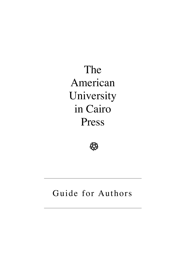The American University in Cairo Press



# Guide for Authors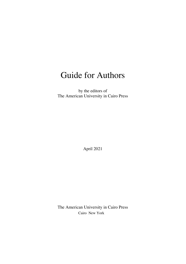## Guide for Authors

by the editors of The American University in Cairo Press

April 2021

The American University in Cairo Press Cairo New York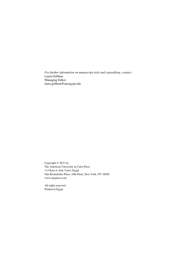*For further information on manuscript style and copyediting, contact:* Laura Gribbon Managing Editor laura.gribbon@aucegypt.edu

Copyright © 2021 by The American University in Cairo Press 113 Kasr el Aini, Cairo, Egypt One Rockefeller Plaza, 10th Floor, New York, NY 10020 www.aucpress.com

All rights reserved Printed in Egypt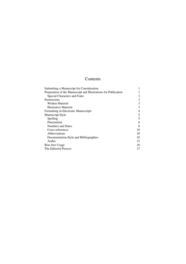## Contents

| Submitting a Manuscript for Consideration                       |    |
|-----------------------------------------------------------------|----|
| Preparation of the Manuscript and Illustrations for Publication |    |
| Special Characters and Fonts                                    | 3  |
| Permissions                                                     | 3  |
| Written Material                                                | 3  |
| Illustrative Material                                           | 3  |
| Formatting in Electronic Manuscripts                            | 4  |
| <b>Manuscript Style</b>                                         | 5  |
| Spelling                                                        | 5  |
| Punctuation                                                     | 6  |
| <b>Numbers and Dates</b>                                        | 8  |
| Cross-references                                                | 10 |
| Abbreviations                                                   | 10 |
| Documentation Style and Bibliographies                          | 10 |
| Arabic                                                          | 12 |
| Bias-free Usage                                                 | 16 |
| The Editorial Process                                           | 17 |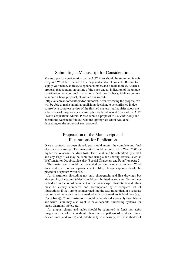## Submitting a Manuscript for Consideration

Manuscripts for consideration by the AUC Press should be submitted in soft copy as a Word file. Include a title page and a table of contents. Be sure to supply your name, address, telephone number, and e-mail address. Attach a proposal that contains an outline of the book and an indication of the unique contribution that your book makes to its field. For further guidelines on how to submit a book proposal, please see our website

(https://aucpress.com/authors/for-authors/). After reviewing the proposal we will be able to make an initial publishing decision, to be confirmed in due course by a complete review of the finished manuscript. Inquiries about the submission of proposals or manuscripts may be addressed to one of the AUC Press's acquisitions editors. Please submit a proposal to *one editor only* and consult the website to find out who the appropriate editor would be, depending on the subject of your proposal.

## Preparation of the Manuscript and Illustrations for Publication

Once a contract has been signed, you should submit the complete and final electronic manuscript. The manuscript should be prepared in Word 2007 or higher for Windows or Macintosh. The file should be submitted by e-mail and any large files may be submitted using a file sharing service, such as WeTransfer or Dropbox. See also "Special Characters and Fonts" on page 2.

The main text should be presented as one single, complete Word document (i.e., not as separate chapter files). Image captions should be placed in a separate Word file.

All illustrations (including not only photographs and line drawings but also graphs, charts, and tables) should be submitted as separate files and not embedded in the Word document of the manuscript. Illustrations and tables must be clearly numbered and accompanied by a complete list of illustrations; if they are to be integrated into the text, rather than in a separate section, their locations must be marked with place markers in bold face (e.g., **[fig. 9 here]**). Color illustrations should be numbered separately from blackand-white. You may also want to have separate numbering systems for maps, diagrams, tables, etc.

All graphs, charts, and tables should be submitted as *black-and-white* images, *not* in color. You should therefore use patterns (dots, dotted lines, dashed lines, and so on) and, additionally if necessary, different shades of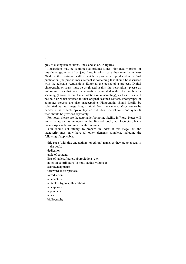gray to distinguish columns, lines, and so on, in figures.

Illustrations may be submitted as original slides, high-quality prints, or line drawings, or as tif or jpeg files, in which case they must be at least 300dpi at the maximum width at which they are to be reproduced in the final publication (the precise measurement is something that should be discussed with the relevant Acquisitions Editor at the outset of a project). Digital photographs or scans must be originated at this high resolution—please do *not* submit files that have been artificially inflated with extra pixels after scanning (known as pixel interpolation or re-sampling), as these files will not hold up when reverted to their original scanned content. Photographs of computer screens are also unacceptable. Photographs should ideally be submitted as raw image files, straight from the camera. Maps are to be handed in as editable eps or layered psd files. Special fonts and symbols used should be provided separately.

For notes, please use the automatic footnoting facility in Word. Notes will normally appear as endnotes in the finished book, not footnotes, but a manuscript can be submitted with footnotes.

You should not attempt to prepare an index at this stage, but the manuscript must now have all other elements complete, including the following if applicable:

title page (with title and authors' or editors' names as they are to appear in the book) dedication table of contents lists of tables, figures, abbreviations, etc. notes on contributors (in multi-author volumes) acknowledgments foreword and/or preface introduction all chapters all tables, figures, illustrations all captions appendices notes bibliography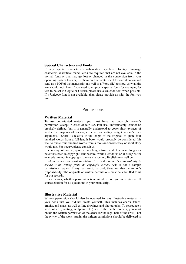#### **Special Characters and Fonts**

If any special characters (mathematical symbols, foreign language characters, diacritical marks, etc.) are required that are not available in the normal fonts or that may get lost or changed in the conversion from your operating system to ours, list them on a separate sheet for our attention and send us a PDF of the manuscript (as well as a Word file) to show us what the text should look like. If you need to employ a special font (for example, for text to be set in Coptic or Greek), please use a Unicode font when possible. If a Unicode font is not available, then please provide us with the font you use.

## Permissions

#### **Written Material**

To use copyrighted material you must have the copyright owner's permission, except in cases of fair use. Fair use, unfortunately, cannot be precisely defined, but it is generally understood to cover short extracts of works for purposes of review, criticism, or adding weight to one's own arguments. "Short" is relative to the length of the original: to quote four hundred words from a full-length book would probably be considered fair use; to quote four hundred words from a thousand-word essay or short story would not. For poetry, please consult us.

You may, of course, quote at any length from work that is no longer or never has been in copyright. But beware: while Herodotus or al-Maqrizi, for example, are not in copyright, the translation into English may well be.

*Where permission must be obtained, it is the author's responsibility to secure it in writing from the copyright owner.* Ask us for a sample permissions request. If any fees are to be paid, these are also the author's responsibility. The originals of written permissions must be submitted to us for our records.

In all cases, whether permission is required or not, you must give a full source citation for all quotations in your manuscript.

#### **Illustrative Material**

Written permission should also be obtained for any illustrative material in your book that you did not create yourself. This includes charts, tables, graphs, and maps, as well as line drawings and photographs. To reproduce a work of art (painting, sculpture, etc.) not in the public domain, you must obtain the written permission of the *artist* (or the legal heir of the artist), not the *owner* of the work. Again, the written permissions should be delivered to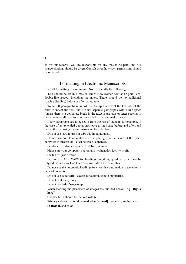us for our records; you are responsible for any fees to be paid; and full source citations should be given. Consult us on how such permissions should be obtained.

## Formatting in Electronic Manuscripts

Keep all formatting to a minimum. Note especially the following:

Text should be set in Times or Times New Roman font at 12-point size, double-line-spaced, including the notes. There should be no additional spacing (leading) before or after paragraphs.

To set off paragraphs in Word, use the split arrow at the left side of the ruler to indent the first line. Do not separate paragraphs with a line space (unless there is a deliberate break in the text) or use tabs or letter spacing to indent—these all have to be removed before we can make pages.

If any paragraphs are to be set in from the rest of the text (for example, in the case of an extended quotation), leave a line space before and after, and indent the text using the two arrows on the ruler bar.

Do not use hard returns or tabs within paragraphs.

Do not use double or multiple letter spacing (that is, never hit the space bar twice in succession), even between sentences.

In tables use tabs, not spaces, to define columns.

Make sure your computer's automatic hyphenation facility is off.

Switch off justification.

Do not use ALL CAPS for headings (anything typed all caps must be retyped, which may lead to errors); use Title Case Like This.

Do not use the automatic headings function that automatically generates a table of contents.

Do not use superscript, except for automatic note numbering.

Do not center anything.

Do not use **bold face**, except:

When marking the placement of images (as outlined above) (e.g., **[fig. 9 here]**).

Chapter titles should be marked with **[ch]**

Primary subheads should be marked as **[a-head]**, secondary subheads as **[b-heads]**, and so on.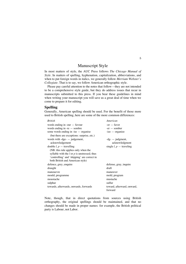## Manuscript Style

In most matters of style, the AUC Press follows *The Chicago Manual of Style*. In matters of spelling, hyphenation, capitalization, abbreviations, and when to put foreign words in italics, we generally follow *Merriam Webster's Collegiate*. That is to say, we follow American orthographic style.

Please pay careful attention to the notes that follow—they are not intended to be a comprehensive style guide, but they do address issues that recur in manuscripts submitted to this press. If you bear these guidelines in mind when writing your manuscript you will save us a great deal of time when we come to prepare it for editing.

#### **Spelling**

Generally, American spelling should be used. For the benefit of those more used to British spelling, here are some of the more common differences:

| <b>British</b>                                   | American                   |
|--------------------------------------------------|----------------------------|
| words ending in -our $-$ favour                  | $-or$ $-$ favor            |
| words ending in $-re$ — sombre                   | $-er$ – somber             |
| some words ending in -ise - organise             | $-ize$ - organize          |
| (but there are exceptions: surprise, etc.)       |                            |
| words with $-dge-$ judgement,                    | $-dg-$ judgment,           |
| acknowledgement                                  | acknowledgment             |
| double $l, p$ – travelling                       | single $l, p$ – traveling  |
| (NB: this rule applies only when the             |                            |
| syllable with the $l$ or $p$ is unstressed; thus |                            |
| 'controlling' and 'shipping' are correct in      |                            |
| both British and American style)                 |                            |
| defence, grey, enquire                           | defense, gray, inquire     |
| draught                                          | draft                      |
| manouevre                                        | maneuver                   |
| mould, programme                                 | mold, program              |
| moustache                                        | mustache                   |
| sulphur                                          | sulfur                     |
| towards, afterwards, onwards, forwards           | toward, afterward, onward, |
|                                                  | forward                    |

Note, though, that in direct quotations from sources using British orthography, the original spellings should be maintained, and that no changes should be made in proper names: for example, the British political party is Labour, not Labor.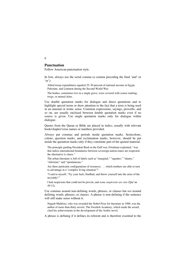#### **Punctuation**

Follow American punctuation style.

In lists, always use the serial comma (a comma preceding the final 'and' or 'or'):

Allied troop expenditures equaled 25–30 percent of national income in Egypt, Palestine, and Lebanon during the Second World War.

The bodies, sometimes two in a single grave, were covered with coarse matting, twigs, or animal skins.

Use double quotation marks for dialogue and direct quotations and to highlight special terms or draw attention to the fact that a term is being used in an unusual or ironic sense. Common expressions, sayings, proverbs, and so on, are usually enclosed between double quotation marks even if no source is given. Use single quotation marks only for dialogue within dialogue.

Quotes from the Quran or Bible are placed in italics, usually with relevant book/chapter/verse names or numbers provided.

Always put commas and periods inside quotation marks. Semicolons, colons, question marks, and exclamation marks, however, should be put inside the quotation marks only if they constitute part of the quoted material:

The principle guiding President Bush in the Gulf war, Friedman explained, "was that unless international boundaries between sovereign nation-states are respected, the alternative is chaos."

The urban literature is full of labels such as "marginal," "squatter," "shanty," "informal," and "spontaneous."

Are there particular configurations of resources . . . which mothers are able to turn to advantage in a "complex living situation"?

"I said to myself, 'Try your luck, Sindbad, and throw yourself into the arms of the invisible!"

I had suspicions that could not be proven, and *some suspicions are sins* (Qur'an 49:12).

Use commas around non-defining words, phrases, or clauses but *not* around defining words, phrases, or clauses. A phrase is non-defining if the sentence will still make sense without it:

Naguib Mahfouz, who was awarded the Nobel Prize for literature in 1988, was the author of more than thirty novels. The Swedish Academy, which made the award, cited his achievements in the development of the Arabic novel.

A phrase is defining if it defines its referent and is therefore essential to the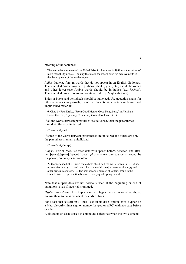meaning of the sentence:

The man who was awarded the Nobel Prize for literature in 1988 was the author of more than thirty novels. The jury that made the award cited his achievements in the development of the Arabic novel.

*Italics.* Italicize foreign words that do not appear in an English dictionary. Transliterated Arabic words (e.g. sharia, sheikh, jihad, etc.) should be roman and other lower-case Arabic words should be in italics (e.g. *koshari*). Transliterated proper nouns are not italicized (e.g. Majlis al-Shura).

Titles of books and periodicals should be italicized. Use quotation marks for titles of articles in journals, stories in collections, chapters in books, and unpublished material:

6. Cited by Paul Drake, "From Good Men to Good Neighbors," in Abraham Lowenthal, ed., *Exporting Democracy* (Johns Hopkins, 1991).

If all the words between parentheses are italicized, then the parentheses should similarly be italicized:

*(Tamarix ahylla)*

If some of the words between parentheses are italicized and others are not, the parentheses remain unitalicized:

(*Tamarix ahylla*, sp.)

*Ellipses.* For ellipses, use three dots with spaces before, between, and after, i.e., [space].[space].[space].[space]; *plus* whatever punctuation is needed, be it a period, comma, or semi-colon:

As the war ended, the United States held about half the world's wealth . . . ; it had no enemies nearby, . . . and controlled the world's major reserves of energy and other critical resources. . . . The war severely harmed all others, while in the United States . . . production boomed, nearly quadrupling in scale.

Note that ellipsis dots are not normally used at the beginning or end of quotations, even if material is omitted.

*Hyphens and dashes.* Use hyphens only in hyphenated compound words; do not use them to break words at the ends of lines.

For a dash that sets off text—thus—use an em dash (option+shift+hyphen on a Mac; alt+ctrl+minus sign on number keypad on a PC) with no space before or after.

A closed up en dash is used in compound adjectives when the two elements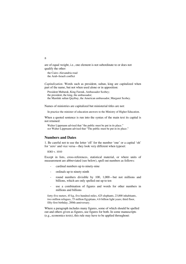are of equal weight, i.e., one element is not subordinate to or does not qualify the other:

the Cairo–Alexandria road the Arab–Israeli conflict

*Capitalization.* Words such as president, sultan, king are capitalized when part of the name, but not when used alone or in apposition:

President Mubarak, King Farouk, Ambassador Scobey; the president, the king, the ambassador; the Mamluk sultan Qaytbay, the American ambassador, Margaret Scobey.

Names of ministries are capitalized but ministerial titles are not:

In practice the minister of education answers to the Ministry of Higher Education.

When a quoted sentence is run into the syntax of the main text its capital is not retained:

Walter Lippmann advised that "the public must be put in its place." *not* Walter Lippmann advised that "The public must be put in its place."

#### **Numbers and Dates**

1. Be careful not to use the letter 'ell' for the number 'one' or a capital 'oh' for 'zero' and vice versa—they look very different when typeset:

lOlO v. 1010

Except in lists, cross-references, statistical material, or where units of measurement are abbreviated (see below), spell out numbers as follows:

- cardinal numbers up to ninety-nine
- ordinals up to ninety-ninth
- round numbers divisible by 100, 1,000—but not millions and billions, which are only spelled out up to ten
- use a combination of figures and words for other numbers in millions and billions

forty-five meters, 45 kg, five hundred miles, 425 elephants, 23,000 inhabitants, two million refugees, 75 million Egyptians, 4.6 billion light years; third floor, fifty-first birthday, 200th anniversary.

Where a paragraph includes many figures, some of which should be spelled out and others given as figures, use figures for both. In some manuscripts (e.g., economics texts), this rule may have to be applied throughout: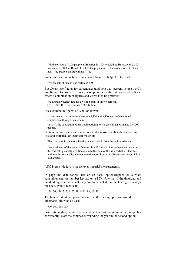Wilkinson found 7,200 people in Bahariya in 1824 (excluding Hayz), with 3,500 in Qasr and 3,000 in Bawiti. In 1897, the population of the oasis was 6,081. Qasr had 1,712 people and Bawiti had 1,713.

Sometimes a combination of words and figures is helpful to the reader:

five packets of 60 and one carton of 200

But always use figures for percentages (and note that 'percent' is one word); use figures for sums of money, except sums in the millions and billions, where a combination of figures and words is to be preferred:

We found a vacancy rate for dwelling units of only 5 percent. LE3.75, \$5,000, £846 million, LE6.2 billion.

Use a comma in figures of 1,000 or above:

It is estimated that anywhere between 2,300 and 3,500 women have found employment through this scheme.

In 1979, the population of the small outlying towns grew to an estimated 234,500 people.

Units of measurement are spelled out in discursive text but abbreviated in lists and statistical or technical material:

The riverbank is some two hundred meters' walk from the main settlement.

Just northwest of the center of the fort is a 13.5 m x 8.5 m vaulted cistern cut into the bedrock, presently dry. Some 5 m to the west of this is a partially filled well with rough stone walls, while 9 m to the north is a round observation tower, 5.5 m in diameter.

AUC Press style favors metric over imperial measurements.

In page and date ranges, use an en dash (option+hyphen on a Mac; ctrl+minus sign on number keypad on a PC). Note that if the thousand and hundred digits are identical, they are not repeated, but the ten digit is always repeated, even if identical:

134–36; 278–312; 1475–79; 1892–93, 56–57

The hundred digit is repeated if a zero in the ten-digit position would otherwise follow an en dash:

306–309, 201–204

Dates giving day, month, and year should be written in one of two ways, but consistently. Note the commas surrounding the year in the second option: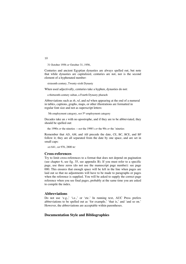31 October 1956 *or* October 31, 1956,

Centuries and ancient Egyptian dynasties are always spelled out, but note that while dynasties are capitalized, centuries are not, nor is the second element of a hyphenated number:

sixteenth century, Twenty-sixth Dynasty

When used adjectivally, centuries take a hyphen, dynasties do not:

a thirteenth-century sultan, a Fourth Dynasty pharaoh

Abbreviations such as *th*, *rd*, and *nd* when appearing at the end of a numeral in tables, captions, graphs, maps, or other illustrations are formatted in regular font size and not as superscript letters:

5th employment category, *not* 5<sup>th</sup> employment category

Decades take an *s* with no apostrophe, and if they are to be abbreviated, they should be spelled out:

the 1990s *or* the nineties —*not* the 1990's *or* the 90s *or* the 'nineties

Remember that AD, AM, and AH precede the date, CE, BC, BCE, and BP follow it; they are all separated from the date by one space, and are set in small caps:

AD 641, AH 976, 2800 BC

#### **Cross-references**

Try to limit cross-references to a format that does not depend on pagination (see chapter 6, see fig. 35, see appendix B). If you must refer to a specific page, use three zeros (do not use the manuscript page number): see page 000. This ensures that enough space will be left in the line when pages are laid out so that no adjustments will have to be made to paragraphs or pages when the reference is supplied. You will be asked to supply the correct page reference when you see final pages, probably at the same time you are asked to compile the index.

#### **Abbreviations**

Do not use 'e.g.,' 'i.e.,' or 'etc.' In running text, AUC Press prefers abbreviations to be spelled out as 'for example,' 'that is,' and 'and so on.' However, the abbreviations are acceptable within parentheses.

#### **Documentation Style and Bibliographies**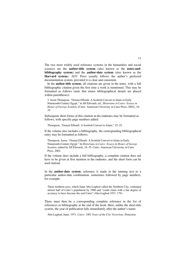The two most widely used reference systems in the humanities and social sciences are the **author-title system** (also known as the **notes-andbibliography system**) and the **author-date system** (also known as the **Harvard system**). AUC Press usually follows the author's preferred documentation system, provided it is clear and consistent.

In the **author-title system**, all citations are given in the notes, with a full bibliographic citation given the first time a work is mentioned. This may be formatted as follows (note that minor bibliographical details are placed within parentheses):

3. Jason Thompson, "Osman Effendi: A Scottish Convert to Islam in Early Nineteenth-Century Egypt," in Jill Edwards, ed., *Historians in Cairo: Essays in Honor of George Scanlon*, (Cairo: American University in Cairo Press, 2002), 18– 35.

Subsequent short forms of this citation in the endnotes may be formatted as follows, with specific page numbers added:

Thompson, "Osman Effendi: A Scottish Convert to Islam," 23–25.

If the volume also includes a bibliography, the corresponding bibliographical entry may be formatted as follows:

Thompson, Jason. "Osman Effendi: A Scottish Convert to Islam in Early Nineteenth-Century Egypt." In *Historians in Cairo: Essays in Honor of George Scanlon*, edited by Jill Edwards, 18–35. Cairo: American University in Cairo Press, 2002.

If the volume does include a full bibliography, a complete citation does not have to be given at first mention in the endnotes, and the short form can be used instead.

In the **author-date system**, reference is made in the running text to a particular author-date combination, sometimes followed by page numbers, for example:

These northern axes, which Janet Abu-Lughod called the Northern City, contained almost half of Cairo's population by 1960 and "could claim with a fair degree of accuracy to have become the real Cairo" (Abu-Lughod 1971, 179).

There must then be a corresponding complete reference in the list of references or bibliography at the end of the book. Here, unlike the short-title system, the year of publication falls immediately after the author's name:

Abu-Lughod, Janet. 1971. *Cairo: 1001 Years of the City Victorious.* Princeton: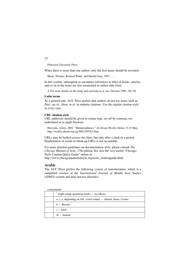Princeton University Press.

When there is more than one author, only the first name should be inverted:

Black, Thomas, Richard White, and Harold Gray. 1997. . . .

In this system, subsequent or secondary references to titles of books, articles, and so on in the notes are also mentioned in author-date form:

4. For more details on the study and reactions to it, see: Dorman 1996, 192–94.

#### **Latin terms**

As a general rule, AUC Press prefers that authors do not use terms such as *Ibid.*, *op.cit.*, *Idem*, or *id.* in endnote citations. Use the regular citation style in every case.

#### **URL citation style**

URL addresses should be given in roman type, set off by commas, *not* underlined or in angle brackets:

Howeida, Amira. 2002. "Metamorphoses." *Al-Ahram Weekly Online*, 9–15 May, http://weekly.ahram.org.eg/2002/585/fe3.htm.

URLs may be broken across two lines, but only after a slash or a period. Hyphenation of words to break up URLs is not acceptable.

For more detailed guidelines on documentation style, please consult *The Chicago Manual of Style,* 17th edition. See also the very useful "Chicago-Style Citation Quick Guide" online at: http://www.chicagomanualofstyle.org/tools\_citationguide.html

#### **Arabic**

The AUC Press prefers the following system of transliteration, which is a simplified version of the *International Journal of Middle East Studies (IJMES)* system and does not use diacritics:

| consonants |
|------------|
|------------|

| $'$ (right single quotation mark) — <i>ma'dhana</i>               |
|-------------------------------------------------------------------|
| $a, i, u$ , depending on foll. vowel sound $-$ Ahmad, Iman, Usama |
| $b - Barack$                                                      |
| $t - k$ itab                                                      |
| $th$ – thuluth                                                    |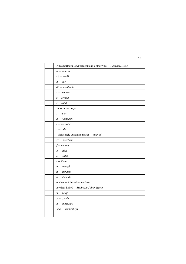| g in a northern Egyptian context; j otherwise $- Faggala$ , Hijaz |
|-------------------------------------------------------------------|
| $h$ – mihrab                                                      |
| $kh - naskhi$                                                     |
| $d - dar$                                                         |
| $dh$ – madhhab                                                    |
| $r -$ madrasa                                                     |
| $z - ziyada$                                                      |
| $s - sabil$                                                       |
| $sh - maskrabiya$                                                 |
| $s - qasr$                                                        |
| $d - Ramadan$                                                     |
| t – mastaba                                                       |
| $z-zuhr$                                                          |
| ' (left single quotation mark) $-$ maq'ad                         |
| $gh - maghrib$                                                    |
| $f$ – malqaf                                                      |
| $q - q$ ibla                                                      |
| $k - k$ uttab                                                     |
| $l - liwan$                                                       |
| $m - manzil$                                                      |
| $n$ – maydan                                                      |
| $h$ - shahada                                                     |
| $a$ when not linked $-$ madrasa                                   |
| at when linked - Madrasat Sultan Hasan                            |
| $w - waqf$                                                        |
| $y - ziyada$                                                      |
| $a$ - mustashfa                                                   |
| -iya — mashrabiya                                                 |
|                                                                   |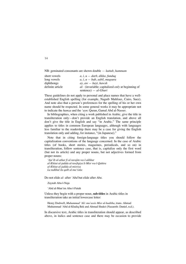NB: geminated consonants are shown double — *kuttab, hammam*

| short vowels     | $a, i, u - \frac{darb}{dx}$ , dikka, funduq                    |
|------------------|----------------------------------------------------------------|
| long vowels      | $a, i, u - bab, sabil, magsura$                                |
| diphthongs       | $ay, aw - bayt, hawsh$                                         |
| definite article | <i>al</i> (invariable; capitalized <i>only</i> at beginning of |
|                  | sentence) — $al-Ghuri$                                         |

These guidelines do not apply to personal and place names that have a wellestablished English spelling (for example, Naguib Mahfouz, Cairo, Suez). And note also that a person's preferences for the spelling of his or her own name should be respected. In some general works it may be appropriate not to indicate the *hamza* and the *'ayn*: Quran, Gamal Abd al-Nasser.

In bibliographies, when citing a work published in Arabic, give the title in transliteration only—don't provide an English translation, and above all don't give the title in English and say "in Arabic." The same principle applies to titles in common European languages, although with languages less familiar to the readership there may be a case for giving the English translation only and adding, for instance, "(in Japanese)."

Note that in citing foreign-language titles you should follow the capitalization conventions of the language concerned. In the case of Arabic titles (of books, short stories, magazines, periodicals, and so on) in transliteration, follow sentence case, that is, capitalize only the first word (but not its article) and any proper nouns, but not adjectives formed from proper nouns:

*'Aja'ib al-athar fi al-tarajim wa-l-akhbar al-Khitat al-jadida al-tawfiqiya li-Misr wa-l-Qahira al-Khitat al-jadida al-misriya La tadkhul ila qalb al-ma'raka*

Do not elide *al-* after *'Abd* but elide after *Abu*.

Zaynab Abu-l-Naja

'Abd al-Mun'im Abu-l-Futuh

Unless they begin with a proper noun, **sub-titles** in Arabic titles in transliteration take an initial lowercase letter:

Henry Dodwell, *Muhammad 'Ali: mu'assis Misr al-haditha*, trans. Ahmad Muhammad 'Abd al-Khaliq Bek and Ahmad Shukri (Nazareth: Daniel, n.d.).

In discursive text, Arabic titles in transliteration should appear, as described above, in italics and sentence case and there may be occasion to provide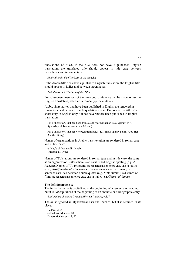translations of titles. If the title does not have a published English translation, the translated title should appear in title case between parentheses and in roman type:

*Akhir al-mala'ika* (The Last of the Angels)

If the Arabic title does have a published English translation, the English title should appear in italics and between parentheses:

*Awlad haratina (Children of the Alley)*

For subsequent mentions of the same book, reference can be made to just the English translation, whether in roman type or in italics.

Arabic short stories that have been published in English are rendered in roman type and between double quotation marks. Do not cite the title of a short story in English only if it has never before been published in English translation.

For a short story that has been translated: "Safinat hanan ila al-qamar" ("A Spaceship of Tenderness to the Moon")

For a short story that has *not* been translated: "Li-l-farah ughniya ukra" (Joy Has Another Song)

Names of organizations in Arabic transliteration are rendered in roman type and in title case:

al-Hay'a al-'Amma li-l-Kitab Wazarat al-Awqaf

Names of TV stations are rendered in roman type and in title case, the same as an organization, unless there is an established English spelling (e.g. Al Jazeera). Names of TV programs are rendered in sentence case and in italics (e.g., *al-Ittijah al-mu'akis*); names of songs are rendered in roman type, sentence case, and between double quotes (e.g., "Inta 'umri"); and names of films are rendered in sentence case and in italics (e.g. *Ghazal al-banat*).

#### **The definite article** *al-*

The initial 'a' in *al-* is capitalized at the beginning of a sentence or heading, but it is *not* capitalized at the beginning of an endnote or bibliographic entry:

4. *al-Nujum al-zahira fi muluk Misr wa-l-qahira*, vol. 7.

The *al-* is ignored in alphabetical lists and indexes, but it is retained in its place:

Badaro, Clea 8 al-Badawi, Mansour 80 Bahgouri, Georges 14, 95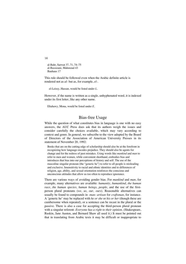al-Bahr, Sarwat 37, 71, 74–75 al-Bassiouni, Mahmoud 43 Bauhaus 17

This rule should be followed even when the Arabic definite article is rendered not as *al-* but as, for example, *el-.*

el-Leissy, Hassan, would be listed under *L*.

However, if the name is written as a single, unhyphenated word, it is indexed under its first letter, like any other name.

Eltahawy, Mona, would be listed under *E*.

## Bias-free Usage

While the question of what constitutes bias in language is one with no easy answers, the AUC Press does ask that its authors weigh the issues and consider carefully the choices available, which may vary according to context and genre. In general, we subscribe to the view adopted by the Board of Directors of the Association of American University Presses in its statement of November 20, 1992:

Books that are on the cutting edge of scholarship should also be at the forefront in recognizing how language encodes prejudice. They should also be agents for change and for the redress of past mistakes. Using words like *mankind* and *man* to refer to men and women, while convenient shorthand, embodies bias and introduces that bias into our perceptions of history and self. The use of the masculine singular pronoun (the "generic he") to refer to all people is misleading and exclusive. Insensitivity to racial and ethnic identities and to differences of religion, age, ability, and sexual orientation reinforces the conscious and unconscious attitudes that allow us too often to reproduce ignorance.

There are various ways of avoiding gender bias. For *mankind* and *man*, for example, many alternatives are available: *humanity*, *humankind*, *the human race*, *the human species*, *human beings*, *people*, and the use of the firstperson plural pronouns (*we*, *us*, *our*, *ours*). Reasonable alternatives can usually be found to compounds in *-man: artisan* for *craftsman*, for instance. A 'generic he' may be replaced with *he or she* or *his or her* (though these are cumbersome when repeated), or a sentence can be recast in the plural or the passive. There is also a case for accepting the third-person plural pronoun with a singular referent: *Everyone has a right to their opinion*. (Shakespeare, Ruskin, Jane Austen, and Bernard Shaw all used it.) It must be pointed out that in translating from Arabic texts it may be difficult or inappropriate to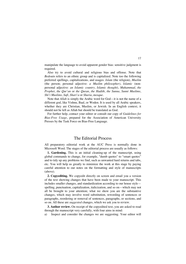manipulate the language to avoid apparent gender bias: sensitive judgment is required.

Also try to avoid cultural and religious bias and offense. Note that *Bedouin* refers to an ethnic group and is capitalized. Note too the following preferred spellings, capitalizations, and usages: *Islam* (the religion), *Muslim* (the person; personal adjective: *a Muslim philosopher)*, *Islamic* (nonpersonal adjective: *an Islamic country*, *Islamic thought*), *Muhammad*, *the Prophet*, *the Qur'an* or *the Quran*, *the Hadith*, *the Sunna*, *Sunni Muslims*, *Shi'i Muslims*, *Sufi*, *Shari'a* or *Sharia*, *mosque.*

Note that *Allah* is simply the Arabic word for God—it is not the name of a different god, like Vishnu, Baal, or Woden. It is used by all Arabic speakers, whether they are Christian, Muslim, or Jewish. In an English context, it should not be left as Allah but should be translated as God.

For further help, contact your editor or consult our copy of *Guidelines for Bias-Free Usage*, prepared for the Association of American University Presses by the Task Force on Bias-Free Language.

## The Editorial Process

All preparatory editorial work at the AUC Press is normally done in Microsoft Word. The stages of the editorial process are usually as follows:

**1. Gardening.** This is an initial cleaning-up of the manuscript, using global commands to change, for example, "dumb quotes" to "smart quotes" and to tidy up any problems we find, such as unwanted hard returns and tabs, etc. You will help us greatly to minimize the work at this stage by paying careful attention to our notes on the formatting and style of manuscripts (above).

**2. Copyediting.** We copyedit directly on screen and email you a version of the text showing changes that have been made to your manuscript. This includes smaller changes, and standardization according to our house style spelling, punctuation, capitalization, italicization, and so on—which may not all be brought to your attention; what we show you are the substantive changes, which may involve word substitution, rewording of sentences or paragraphs, reordering or removal of sentences, paragraphs, or sections, and so on. All these are *suggested* changes, which we ask you to review.

**3. Author review.** On receipt of the copyedited text, you are asked to read through the manuscript very carefully, with four aims in mind:

a) Inspect and consider the changes we are suggesting. Your editor will